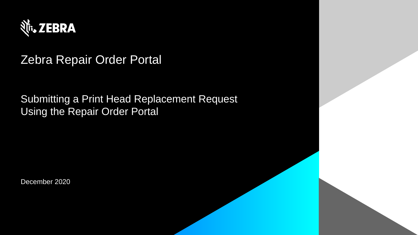

# Zebra Repair Order Portal

Submitting a Print Head Replacement Request Using the Repair Order Portal

December 2020

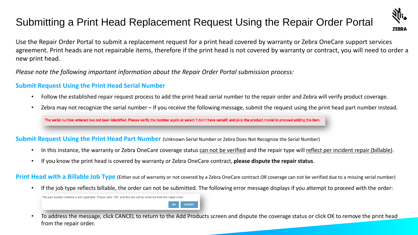# Submitting a Print Head Replacement Request Using the Repair Order Portal



Use the Repair Order Portal to submit a replacement request for a print head covered by warranty or Zebra OneCare support services agreement. Print heads are not repairable items, therefore if the print head is not covered by warranty or contract, you will need to order a new print head.

*Please note the following important information about the Repair Order Portal submission process:*

#### **Submit Request Using the Print Head Serial Number**

- Follow the established repair request process to add the print head serial number to the repair order and Zebra will verify product coverage.
- Zebra may not recognize the serial number If you receive the following message, submit the request using the print head part number instead.

The serial number entered has not been identified. Please verify the number again or select 'I don't have serial#' and pick the product model to proceed adding the item.

#### **Submit Request Using the Print Head Part Number** (Unknown Serial Number or Zebra Does Not Recognize the Serial Number)

- In this instance, the warranty or Zebra OneCare coverage status can not be verified and the repair type will reflect per incident repair (billable).
- If you know the print head is covered by warranty or Zebra OneCare contract, **please dispute the repair status**.

**Print Head with a Billable Job Type** (Either out of warranty or not covered by a Zebra OneCare contract *OR* coverage can not be verified due to a missing serial number)

• If the job type reflects billable, the order can not be submitted. The following error message displays if you attempt to proceed with the order:

The part number entered is not repairable. Please click "OK" and this line will be removed from the repair order.



• To address the message, click CANCEL to return to the Add Products screen and dispute the coverage status or click OK to remove the print head from the repair order.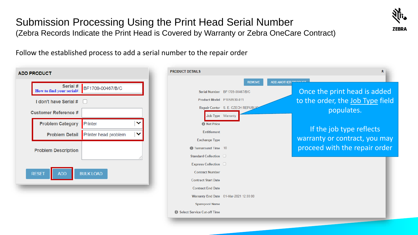## Submission Processing Using the Print Head Serial Number (Zebra Records Indicate the Print Head is Covered by Warranty or Zebra OneCare Contract)



Follow the established process to add a serial number to the repair order

| <b>ADD PRODUCT</b>                                       |  |
|----------------------------------------------------------|--|
| Serial #<br>BF1709-00467/B/C<br>How to find your serial# |  |
| I don't have Serial #                                    |  |
| <b>Customer Reference #</b>                              |  |
| Printer<br><b>Problem Category</b>                       |  |
| Printer head problem<br><b>Problem Detail</b>            |  |
| <b>Problem Description</b>                               |  |
|                                                          |  |
| <b>ADD</b><br><b>RESET</b><br><b>BULK LOAD</b>           |  |
|                                                          |  |

| <b>DUCT DETAILS</b>                |                                        |                            | °                                |
|------------------------------------|----------------------------------------|----------------------------|----------------------------------|
|                                    | <b>REMOVE</b>                          | <b>ADD ANOTHER PRODUCT</b> |                                  |
|                                    | Serial Number BF1709-00467/B/C         |                            | Once the print head is added     |
| Product Model P1058930-011         |                                        |                            | to the order, the Job Type field |
|                                    | Repair Center S. E. CZECH REPUBLIC     |                            | populates.                       |
| Job Type Warranty                  |                                        |                            |                                  |
| <b>A</b> Net Price                 |                                        |                            |                                  |
| <b>Fntitlement</b>                 |                                        |                            | If the job type reflects         |
| <b>Exchange Type</b>               |                                        |                            | warranty or contract, you may    |
| <b>f</b> Turnaround Time 10        |                                        |                            | proceed with the repair order    |
| Standard Collection                |                                        |                            |                                  |
| Express Collection                 |                                        |                            |                                  |
| <b>Contract Number</b>             |                                        |                            |                                  |
| <b>Contract Start Date</b>         |                                        |                            |                                  |
| <b>Contract End Date</b>           |                                        |                            |                                  |
|                                    | Warranty End Date 01-Mar-2021 12:00:00 |                            |                                  |
| <b>Sparepool Name</b>              |                                        |                            |                                  |
| <b>Select Service Cut-off Time</b> |                                        |                            |                                  |
|                                    |                                        |                            |                                  |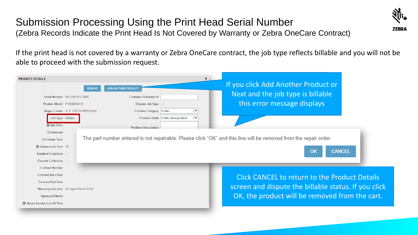## Submission Processing Using the Print Head Serial Number (Zebra Records Indicate the Print Head Is Not Covered by Warranty or Zebra OneCare Contract)



If the print head is not covered by a warranty or Zebra OneCare contract, the job type reflects billable and you will not be able to proceed with the submission request.

| <b>PRODUCT DETAILS</b>                 | <b>REMOVE</b> | <b>ADD ANOTHER PRODUCT</b>                          | $\hat{\mathbf{x}}$ | If you click Add Another Product or<br>Next and the job type is billable                                          |
|----------------------------------------|---------------|-----------------------------------------------------|--------------------|-------------------------------------------------------------------------------------------------------------------|
| Serial Number BF1710-00173/B/C         |               | <b>Customer Reference #</b>                         |                    |                                                                                                                   |
| Product Model P1058930-011             |               | Dispute Job Type $\Box$                             |                    | this error message displays                                                                                       |
| Repair Center S. E. CZECH REPUBLIC     |               | Problem Category Printer<br>$\checkmark$            |                    |                                                                                                                   |
| Job Type Billable                      |               | $\checkmark$<br>Problem Detail Printer head problem |                    |                                                                                                                   |
| <b><i>O</i></b> Net Price              |               | <b>Problem Description</b>                          |                    |                                                                                                                   |
| <b>Entitlement</b>                     |               |                                                     |                    |                                                                                                                   |
| <b>Exchange Type</b>                   |               |                                                     |                    | The part number entered is not repairable. Please click "OK" and this line will be removed from the repair order. |
| Turnaround Time 10                     |               |                                                     |                    |                                                                                                                   |
| Standard Collection                    |               |                                                     |                    | OK<br><b>CANCEL</b>                                                                                               |
| Express Collection D                   |               |                                                     |                    |                                                                                                                   |
| <b>Contract Number</b>                 |               |                                                     |                    |                                                                                                                   |
| <b>Contract Start Date</b>             |               |                                                     |                    | <b>Click CANCEL to return to the Product Details</b>                                                              |
| <b>Contract End Date</b>               |               |                                                     |                    |                                                                                                                   |
| Warranty End Date 07-Sep-2018 12:00:00 |               |                                                     |                    | screen and dispute the billable status. If you click                                                              |
| <b>Sparepool Name</b>                  |               |                                                     |                    | OK, the product will be removed from the cart.                                                                    |
| <b>B</b> Select Service Cut-off Time   |               |                                                     |                    |                                                                                                                   |
|                                        |               |                                                     |                    |                                                                                                                   |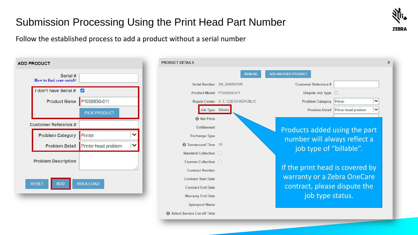# Submission Processing Using the Print Head Part Number



Follow the established process to add a product without a serial number

| <b>ADD PRODUCT</b>                   |                      |
|--------------------------------------|----------------------|
| Serial #<br>How to find your serial# |                      |
| I don't have Serial #                | Ø                    |
| <b>Product Name</b>                  | P1058930-011         |
|                                      | <b>PICK PRODUCT</b>  |
| <b>Customer Reference #</b>          |                      |
|                                      |                      |
| <b>Problem Category</b>              | Printer              |
| <b>Problem Detail</b>                | Printer head problem |
| <b>Problem Description</b>           |                      |
| <b>ADD</b><br><b>RESET</b>           | <b>BULK LOAD</b>     |

| <b>PRODUCT DETAILS</b>             |                                    |                                 |                      | ⋩            |
|------------------------------------|------------------------------------|---------------------------------|----------------------|--------------|
|                                    | <b>REMOVE</b>                      | <b>ADD ANOTHER PRODUCT</b>      |                      |              |
|                                    | Serial Number SN UNKNOWN           | <b>Customer Reference #</b>     |                      |              |
| Product Model P1058930-011         |                                    | Dispute Job Type                | <b>ID</b>            |              |
|                                    | Repair Center S. E. CZECH REPUBLIC | <b>Problem Category</b>         | Printer              | v            |
| Job Type Billable                  |                                    | <b>Problem Detail</b>           | Printer head problem | $\checkmark$ |
| <b>A</b> Net Price                 |                                    |                                 |                      |              |
| <b>Entitlement</b>                 |                                    | Products added using the part   |                      |              |
| <b>Exchange Type</b>               |                                    | number will always reflect a    |                      |              |
| <b>ft</b> Turnaround Time 10       |                                    | job type of "billable".         |                      |              |
| Standard Collection                |                                    |                                 |                      |              |
| Express Collection                 |                                    |                                 |                      |              |
| <b>Contract Number</b>             |                                    | If the print head is covered by |                      |              |
| <b>Contract Start Date</b>         |                                    | warranty or a Zebra OneCare     |                      |              |
| <b>Contract End Date</b>           |                                    | contract, please dispute the    |                      |              |
| <b>Warranty End Date</b>           |                                    | job type status.                |                      |              |
| <b>Sparepool Name</b>              |                                    |                                 |                      |              |
| <b>Select Service Cut-off Time</b> |                                    |                                 |                      |              |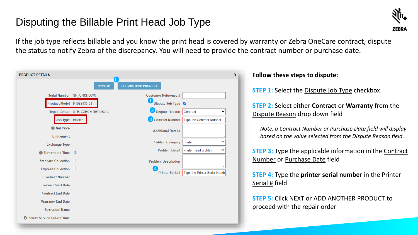# Disputing the Billable Print Head Job Type



If the job type reflects billable and you know the print head is covered by warranty or Zebra OneCare contract, dispute the status to notify Zebra of the discrepancy. You will need to provide the contract number or purchase date.

| <b>PRODUCT DETAILS</b>               |                                    |                                      |                              |              |
|--------------------------------------|------------------------------------|--------------------------------------|------------------------------|--------------|
|                                      | <b>REMOVE</b>                      | (5)<br>ADD ANOTHER PRODUCT           |                              |              |
|                                      | Serial Number SN_UNKNOWN           | <b>Customer Reference #</b>          |                              |              |
| <b>Product Model</b>                 | P1058930-011                       | $\overline{1}$<br>Dispute Job Type V |                              |              |
|                                      | Repair Center S. E. CZECH REPUBLIC | 2 Dispute Reason                     | Contract                     | $\checkmark$ |
| Job Type Billable                    |                                    | <b>3</b> Contract Number             | Type the Contract Number     |              |
| <b>O</b> Net Price                   |                                    | <b>Additional Details</b>            |                              |              |
| <b>Entitlement</b>                   |                                    |                                      |                              |              |
| <b>Exchange Type</b>                 |                                    | <b>Problem Category</b>              | Printer                      | $\checkmark$ |
| <b>f</b> Turnaround Time             | 10                                 | <b>Problem Detail</b>                | Printer head problem         | $\checkmark$ |
| Standard Collection D                |                                    | <b>Problem Description</b>           |                              |              |
| Express Collection D                 |                                    | $\overline{A}$                       |                              |              |
| <b>Contract Number</b>               |                                    | <b>Printer Serial#</b>               | Type the Printer Serial Numb |              |
| <b>Contract Start Date</b>           |                                    |                                      |                              |              |
| <b>Contract End Date</b>             |                                    |                                      |                              |              |
| <b>Warranty End Date</b>             |                                    |                                      |                              |              |
| <b>Sparepool Name</b>                |                                    |                                      |                              |              |
| <b>B</b> Select Service Cut-off Time |                                    |                                      |                              |              |

### **Follow these steps to dispute:**

**STEP 1:** Select the Dispute Job Type checkbox

**STEP 2:** Select either **Contract** or **Warranty** from the Dispute Reason drop down field

*Note, a Contract Number or Purchase Date field will display based on the value selected from the Dispute Reason field.*

**STEP 3:** Type the applicable information in the **Contract** Number or Purchase Date field

**STEP 4:** Type the **printer serial number** in the Printer Serial # field

**STEP 5:** Click NEXT or ADD ANOTHER PRODUCT to proceed with the repair order